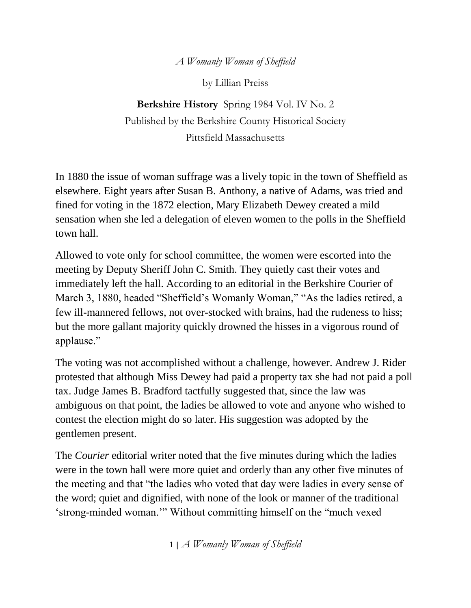*A Womanly Woman of Sheffield*

by Lillian Preiss

**Berkshire History** Spring 1984 Vol. IV No. 2 Published by the Berkshire County Historical Society Pittsfield Massachusetts

In 1880 the issue of woman suffrage was a lively topic in the town of Sheffield as elsewhere. Eight years after Susan B. Anthony, a native of Adams, was tried and fined for voting in the 1872 election, Mary Elizabeth Dewey created a mild sensation when she led a delegation of eleven women to the polls in the Sheffield town hall.

Allowed to vote only for school committee, the women were escorted into the meeting by Deputy Sheriff John C. Smith. They quietly cast their votes and immediately left the hall. According to an editorial in the Berkshire Courier of March 3, 1880, headed "Sheffield's Womanly Woman," "As the ladies retired, a few ill-mannered fellows, not over-stocked with brains, had the rudeness to hiss; but the more gallant majority quickly drowned the hisses in a vigorous round of applause."

The voting was not accomplished without a challenge, however. Andrew J. Rider protested that although Miss Dewey had paid a property tax she had not paid a poll tax. Judge James B. Bradford tactfully suggested that, since the law was ambiguous on that point, the ladies be allowed to vote and anyone who wished to contest the election might do so later. His suggestion was adopted by the gentlemen present.

The *Courier* editorial writer noted that the five minutes during which the ladies were in the town hall were more quiet and orderly than any other five minutes of the meeting and that "the ladies who voted that day were ladies in every sense of the word; quiet and dignified, with none of the look or manner of the traditional 'strong-minded woman.'" Without committing himself on the "much vexed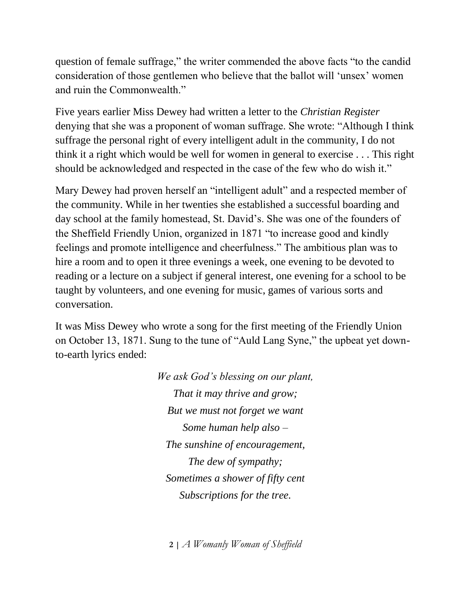question of female suffrage," the writer commended the above facts "to the candid consideration of those gentlemen who believe that the ballot will 'unsex' women and ruin the Commonwealth."

Five years earlier Miss Dewey had written a letter to the *Christian Register* denying that she was a proponent of woman suffrage. She wrote: "Although I think suffrage the personal right of every intelligent adult in the community, I do not think it a right which would be well for women in general to exercise . . . This right should be acknowledged and respected in the case of the few who do wish it."

Mary Dewey had proven herself an "intelligent adult" and a respected member of the community. While in her twenties she established a successful boarding and day school at the family homestead, St. David's. She was one of the founders of the Sheffield Friendly Union, organized in 1871 "to increase good and kindly feelings and promote intelligence and cheerfulness." The ambitious plan was to hire a room and to open it three evenings a week, one evening to be devoted to reading or a lecture on a subject if general interest, one evening for a school to be taught by volunteers, and one evening for music, games of various sorts and conversation.

It was Miss Dewey who wrote a song for the first meeting of the Friendly Union on October 13, 1871. Sung to the tune of "Auld Lang Syne," the upbeat yet downto-earth lyrics ended:

> *We ask God's blessing on our plant, That it may thrive and grow; But we must not forget we want Some human help also – The sunshine of encouragement, The dew of sympathy; Sometimes a shower of fifty cent Subscriptions for the tree.*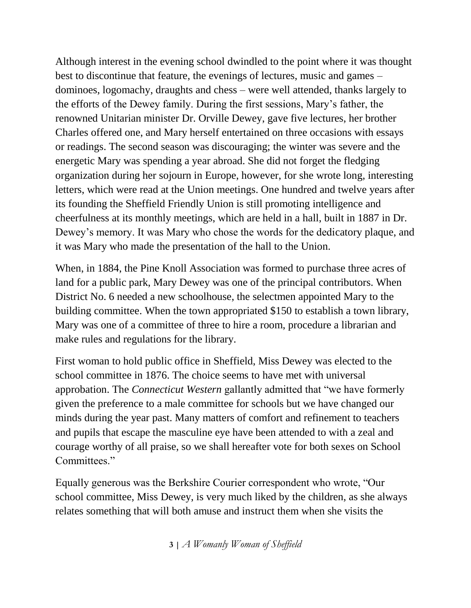Although interest in the evening school dwindled to the point where it was thought best to discontinue that feature, the evenings of lectures, music and games – dominoes, logomachy, draughts and chess – were well attended, thanks largely to the efforts of the Dewey family. During the first sessions, Mary's father, the renowned Unitarian minister Dr. Orville Dewey, gave five lectures, her brother Charles offered one, and Mary herself entertained on three occasions with essays or readings. The second season was discouraging; the winter was severe and the energetic Mary was spending a year abroad. She did not forget the fledging organization during her sojourn in Europe, however, for she wrote long, interesting letters, which were read at the Union meetings. One hundred and twelve years after its founding the Sheffield Friendly Union is still promoting intelligence and cheerfulness at its monthly meetings, which are held in a hall, built in 1887 in Dr. Dewey's memory. It was Mary who chose the words for the dedicatory plaque, and it was Mary who made the presentation of the hall to the Union.

When, in 1884, the Pine Knoll Association was formed to purchase three acres of land for a public park, Mary Dewey was one of the principal contributors. When District No. 6 needed a new schoolhouse, the selectmen appointed Mary to the building committee. When the town appropriated \$150 to establish a town library, Mary was one of a committee of three to hire a room, procedure a librarian and make rules and regulations for the library.

First woman to hold public office in Sheffield, Miss Dewey was elected to the school committee in 1876. The choice seems to have met with universal approbation. The *Connecticut Western* gallantly admitted that "we have formerly given the preference to a male committee for schools but we have changed our minds during the year past. Many matters of comfort and refinement to teachers and pupils that escape the masculine eye have been attended to with a zeal and courage worthy of all praise, so we shall hereafter vote for both sexes on School Committees."

Equally generous was the Berkshire Courier correspondent who wrote, "Our school committee, Miss Dewey, is very much liked by the children, as she always relates something that will both amuse and instruct them when she visits the